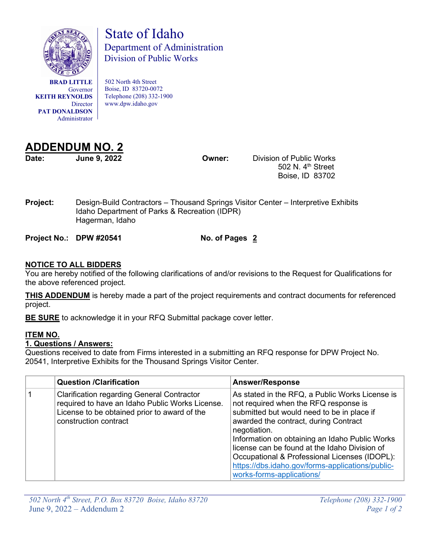

**BRAD LITTLE** Governor **KEITH REYNOLDS Director PAT DONALDSON** Administrator

 State of Idaho Department of Administration Division of Public Works

502 North 4th Street Boise, ID 83720-0072 Telephone (208) 332-1900 www.dpw.idaho.gov



**Date: June 9, 2022 Owner:** Division of Public Works 502 N. 4<sup>th</sup> Street Boise, ID 83702

**Project:** Design-Build Contractors – Thousand Springs Visitor Center – Interpretive Exhibits Idaho Department of Parks & Recreation (IDPR) Hagerman, Idaho

**Project No.: DPW #20541 No. of Pages 2**

## **NOTICE TO ALL BIDDERS**

You are hereby notified of the following clarifications of and/or revisions to the Request for Qualifications for the above referenced project.

**THIS ADDENDUM** is hereby made a part of the project requirements and contract documents for referenced project.

**BE SURE** to acknowledge it in your RFQ Submittal package cover letter.

## **ITEM NO.**

## **1. Questions / Answers:**

Questions received to date from Firms interested in a submitting an RFQ response for DPW Project No. 20541, Interpretive Exhibits for the Thousand Springs Visitor Center.

| <b>Question /Clarification</b>                                                                                                                                                | <b>Answer/Response</b>                                                                                                                                                                                                                                                                                                                                                                                                               |
|-------------------------------------------------------------------------------------------------------------------------------------------------------------------------------|--------------------------------------------------------------------------------------------------------------------------------------------------------------------------------------------------------------------------------------------------------------------------------------------------------------------------------------------------------------------------------------------------------------------------------------|
| <b>Clarification regarding General Contractor</b><br>required to have an Idaho Public Works License.<br>License to be obtained prior to award of the<br>construction contract | As stated in the RFQ, a Public Works License is<br>not required when the RFQ response is<br>submitted but would need to be in place if<br>awarded the contract, during Contract<br>negotiation.<br>Information on obtaining an Idaho Public Works<br>license can be found at the Idaho Division of<br>Occupational & Professional Licenses (IDOPL):<br>https://dbs.idaho.gov/forms-applications/public-<br>works-forms-applications/ |